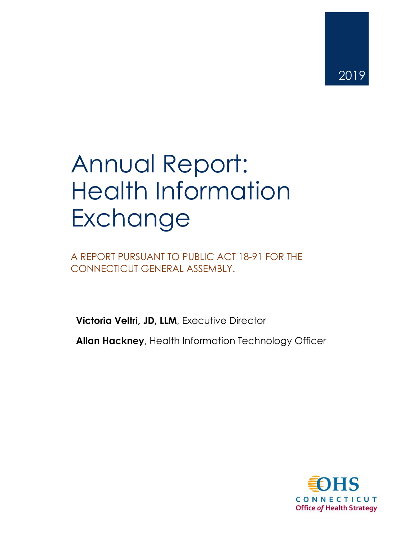# Annual Report: Health Information Exchange

A REPORT PURSUANT TO PUBLIC ACT 18-91 FOR THE CONNECTICUT GENERAL ASSEMBLY.

**Victoria Veltri, JD, LLM**, Executive Director

**Allan Hackney**, Health Information Technology Officer

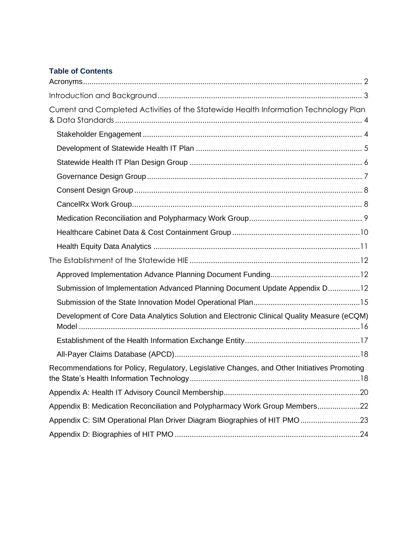#### **Table of Contents**

| Current and Completed Activities of the Statewide Health Information Technology Plan         |
|----------------------------------------------------------------------------------------------|
|                                                                                              |
|                                                                                              |
|                                                                                              |
|                                                                                              |
|                                                                                              |
|                                                                                              |
|                                                                                              |
|                                                                                              |
|                                                                                              |
|                                                                                              |
|                                                                                              |
| Submission of Implementation Advanced Planning Document Update Appendix D12                  |
|                                                                                              |
| Development of Core Data Analytics Solution and Electronic Clinical Quality Measure (eCQM)   |
|                                                                                              |
|                                                                                              |
| Recommendations for Policy, Regulatory, Legislative Changes, and Other Initiatives Promoting |
|                                                                                              |
| Appendix B: Medication Reconciliation and Polypharmacy Work Group Members22                  |
| Appendix C: SIM Operational Plan Driver Diagram Biographies of HIT PMO23                     |
|                                                                                              |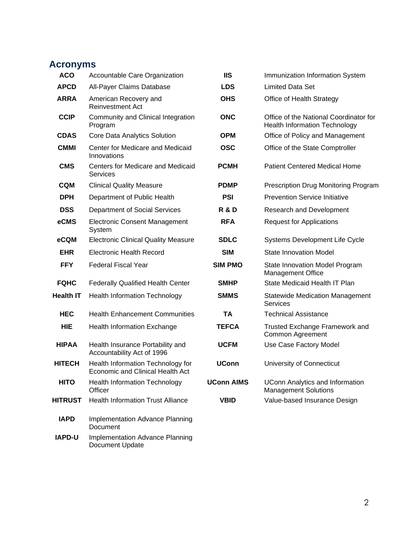# <span id="page-2-0"></span>**Acronyms**

| <b>ACO</b>       | Accountable Care Organization                                                | <b>IIS</b>        | Immunization Information System                                                |
|------------------|------------------------------------------------------------------------------|-------------------|--------------------------------------------------------------------------------|
| <b>APCD</b>      | All-Payer Claims Database                                                    | <b>LDS</b>        | <b>Limited Data Set</b>                                                        |
| <b>ARRA</b>      | American Recovery and<br><b>Reinvestment Act</b>                             | <b>OHS</b>        | Office of Health Strategy                                                      |
| <b>CCIP</b>      | Community and Clinical Integration<br>Program                                | <b>ONC</b>        | Office of the National Coordinator for<br><b>Health Information Technology</b> |
| <b>CDAS</b>      | Core Data Analytics Solution                                                 | <b>OPM</b>        | Office of Policy and Management                                                |
| <b>CMMI</b>      | Center for Medicare and Medicaid<br>Innovations                              | <b>OSC</b>        | Office of the State Comptroller                                                |
| <b>CMS</b>       | Centers for Medicare and Medicaid<br>Services                                | <b>PCMH</b>       | <b>Patient Centered Medical Home</b>                                           |
| <b>CQM</b>       | <b>Clinical Quality Measure</b>                                              | <b>PDMP</b>       | Prescription Drug Monitoring Program                                           |
| <b>DPH</b>       | Department of Public Health                                                  | <b>PSI</b>        | <b>Prevention Service Initiative</b>                                           |
| <b>DSS</b>       | Department of Social Services                                                | <b>R &amp; D</b>  | Research and Development                                                       |
| eCMS             | <b>Electronic Consent Management</b><br>System                               | <b>RFA</b>        | <b>Request for Applications</b>                                                |
| eCQM             | <b>Electronic Clinical Quality Measure</b>                                   | <b>SDLC</b>       | Systems Development Life Cycle                                                 |
| <b>EHR</b>       | <b>Electronic Health Record</b>                                              | <b>SIM</b>        | <b>State Innovation Model</b>                                                  |
| <b>FFY</b>       | <b>Federal Fiscal Year</b>                                                   | <b>SIM PMO</b>    | State Innovation Model Program<br><b>Management Office</b>                     |
| <b>FQHC</b>      | <b>Federally Qualified Health Center</b>                                     | <b>SMHP</b>       | State Medicaid Health IT Plan                                                  |
| <b>Health IT</b> | <b>Health Information Technology</b>                                         | <b>SMMS</b>       | <b>Statewide Medication Management</b><br><b>Services</b>                      |
| <b>HEC</b>       | <b>Health Enhancement Communities</b>                                        | TA                | <b>Technical Assistance</b>                                                    |
| <b>HIE</b>       | <b>Health Information Exchange</b>                                           | <b>TEFCA</b>      | Trusted Exchange Framework and<br>Common Agreement                             |
| <b>HIPAA</b>     | Health Insurance Portability and<br>Accountability Act of 1996               | <b>UCFM</b>       | Use Case Factory Model                                                         |
| <b>HITECH</b>    | Health Information Technology for<br><b>Economic and Clinical Health Act</b> | <b>UConn</b>      | University of Connecticut                                                      |
| <b>HITO</b>      | <b>Health Information Technology</b><br>Officer                              | <b>UConn AIMS</b> | <b>UConn Analytics and Information</b><br><b>Management Solutions</b>          |
| <b>HITRUST</b>   | <b>Health Information Trust Alliance</b>                                     | <b>VBID</b>       | Value-based Insurance Design                                                   |
| <b>IAPD</b>      | <b>Implementation Advance Planning</b><br>Document                           |                   |                                                                                |
|                  |                                                                              |                   |                                                                                |

**IAPD-U** Implementation Advance Planning Document Update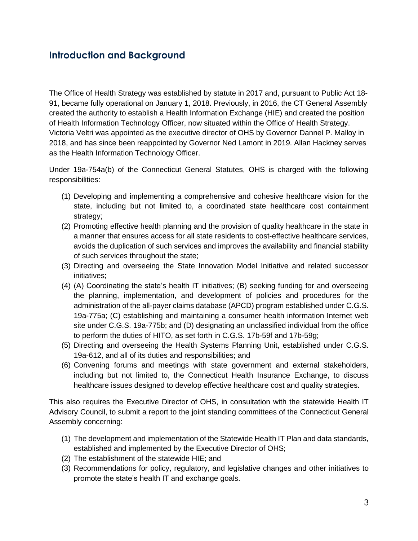## <span id="page-3-0"></span>**Introduction and Background**

The Office of Health Strategy was established by statute in 2017 and, pursuant to Public Act 18- 91, became fully operational on January 1, 2018. Previously, in 2016, the CT General Assembly created the authority to establish a Health Information Exchange (HIE) and created the position of Health Information Technology Officer, now situated within the Office of Health Strategy. Victoria Veltri was appointed as the executive director of OHS by Governor Dannel P. Malloy in 2018, and has since been reappointed by Governor Ned Lamont in 2019. Allan Hackney serves as the Health Information Technology Officer.

Under 19a-754a(b) of the Connecticut General Statutes, OHS is charged with the following responsibilities:

- (1) Developing and implementing a comprehensive and cohesive healthcare vision for the state, including but not limited to, a coordinated state healthcare cost containment strategy;
- (2) Promoting effective health planning and the provision of quality healthcare in the state in a manner that ensures access for all state residents to cost-effective healthcare services, avoids the duplication of such services and improves the availability and financial stability of such services throughout the state;
- (3) Directing and overseeing the State Innovation Model Initiative and related successor initiatives;
- (4) (A) Coordinating the state's health IT initiatives; (B) seeking funding for and overseeing the planning, implementation, and development of policies and procedures for the administration of the all-payer claims database (APCD) program established under C.G.S. 19a-775a; (C) establishing and maintaining a consumer health information Internet web site under C.G.S. 19a-775b; and (D) designating an unclassified individual from the office to perform the duties of HITO, as set forth in C.G.S. 17b-59f and 17b-59g;
- (5) Directing and overseeing the Health Systems Planning Unit, established under C.G.S. 19a-612, and all of its duties and responsibilities; and
- (6) Convening forums and meetings with state government and external stakeholders, including but not limited to, the Connecticut Health Insurance Exchange, to discuss healthcare issues designed to develop effective healthcare cost and quality strategies.

This also requires the Executive Director of OHS, in consultation with the statewide Health IT Advisory Council, to submit a report to the joint standing committees of the Connecticut General Assembly concerning:

- (1) The development and implementation of the Statewide Health IT Plan and data standards, established and implemented by the Executive Director of OHS;
- (2) The establishment of the statewide HIE; and
- (3) Recommendations for policy, regulatory, and legislative changes and other initiatives to promote the state's health IT and exchange goals.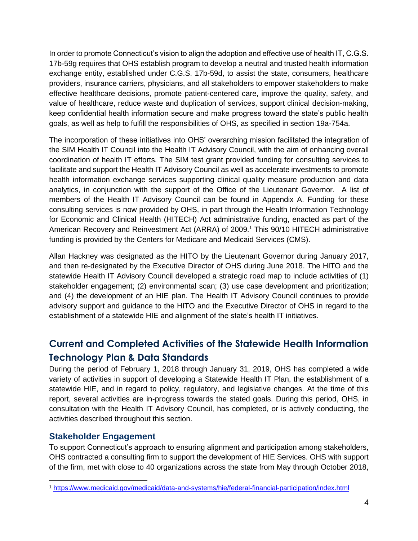In order to promote Connecticut's vision to align the adoption and effective use of health IT, C.G.S. 17b-59g requires that OHS establish program to develop a neutral and trusted health information exchange entity, established under C.G.S. 17b-59d, to assist the state, consumers, healthcare providers, insurance carriers, physicians, and all stakeholders to empower stakeholders to make effective healthcare decisions, promote patient-centered care, improve the quality, safety, and value of healthcare, reduce waste and duplication of services, support clinical decision-making, keep confidential health information secure and make progress toward the state's public health goals, as well as help to fulfill the responsibilities of OHS, as specified in section 19a-754a.

The incorporation of these initiatives into OHS' overarching mission facilitated the integration of the SIM Health IT Council into the Health IT Advisory Council, with the aim of enhancing overall coordination of health IT efforts. The SIM test grant provided funding for consulting services to facilitate and support the Health IT Advisory Council as well as accelerate investments to promote health information exchange services supporting clinical quality measure production and data analytics, in conjunction with the support of the Office of the Lieutenant Governor. A list of members of the Health IT Advisory Council can be found in Appendix A. Funding for these consulting services is now provided by OHS, in part through the Health Information Technology for Economic and Clinical Health (HITECH) Act administrative funding, enacted as part of the American Recovery and Reinvestment Act (ARRA) of 2009.<sup>1</sup> This 90/10 HITECH administrative funding is provided by the Centers for Medicare and Medicaid Services (CMS).

Allan Hackney was designated as the HITO by the Lieutenant Governor during January 2017, and then re-designated by the Executive Director of OHS during June 2018. The HITO and the statewide Health IT Advisory Council developed a strategic road map to include activities of (1) stakeholder engagement; (2) environmental scan; (3) use case development and prioritization; and (4) the development of an HIE plan. The Health IT Advisory Council continues to provide advisory support and guidance to the HITO and the Executive Director of OHS in regard to the establishment of a statewide HIE and alignment of the state's health IT initiatives.

# <span id="page-4-0"></span>**Current and Completed Activities of the Statewide Health Information Technology Plan & Data Standards**

During the period of February 1, 2018 through January 31, 2019, OHS has completed a wide variety of activities in support of developing a Statewide Health IT Plan, the establishment of a statewide HIE, and in regard to policy, regulatory, and legislative changes. At the time of this report, several activities are in-progress towards the stated goals. During this period, OHS, in consultation with the Health IT Advisory Council, has completed, or is actively conducting, the activities described throughout this section.

## <span id="page-4-1"></span>**Stakeholder Engagement**

To support Connecticut's approach to ensuring alignment and participation among stakeholders, OHS contracted a consulting firm to support the development of HIE Services. OHS with support of the firm, met with close to 40 organizations across the state from May through October 2018,

<sup>1</sup> <https://www.medicaid.gov/medicaid/data-and-systems/hie/federal-financial-participation/index.html>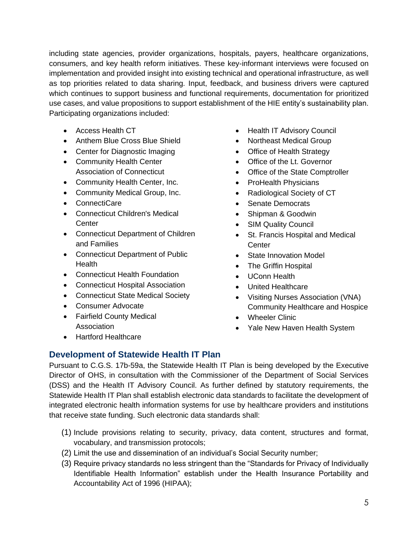including state agencies, provider organizations, hospitals, payers, healthcare organizations, consumers, and key health reform initiatives. These key-informant interviews were focused on implementation and provided insight into existing technical and operational infrastructure, as well as top priorities related to data sharing. Input, feedback, and business drivers were captured which continues to support business and functional requirements, documentation for prioritized use cases, and value propositions to support establishment of the HIE entity's sustainability plan. Participating organizations included:

- Access Health CT
- Anthem Blue Cross Blue Shield
- Center for Diagnostic Imaging
- Community Health Center Association of Connecticut
- Community Health Center, Inc.
- Community Medical Group, Inc.
- ConnectiCare
- Connecticut Children's Medical **Center**
- Connecticut Department of Children and Families
- Connecticut Department of Public **Health**
- Connecticut Health Foundation
- Connecticut Hospital Association
- Connecticut State Medical Society
- Consumer Advocate
- Fairfield County Medical Association
- Health IT Advisory Council
- Northeast Medical Group
- Office of Health Strategy
- Office of the Lt. Governor
- Office of the State Comptroller
- ProHealth Physicians
- Radiological Society of CT
- Senate Democrats
- Shipman & Goodwin
- SIM Quality Council
- St. Francis Hospital and Medical **Center**
- State Innovation Model
- The Griffin Hospital
- UConn Health
- United Healthcare
- Visiting Nurses Association (VNA) Community Healthcare and Hospice
- Wheeler Clinic
- Yale New Haven Health System

• Hartford Healthcare

## <span id="page-5-0"></span>**Development of Statewide Health IT Plan**

Pursuant to C.G.S. 17b-59a, the Statewide Health IT Plan is being developed by the Executive Director of OHS, in consultation with the Commissioner of the Department of Social Services (DSS) and the Health IT Advisory Council. As further defined by statutory requirements, the Statewide Health IT Plan shall establish electronic data standards to facilitate the development of integrated electronic health information systems for use by healthcare providers and institutions that receive state funding. Such electronic data standards shall:

- (1) Include provisions relating to security, privacy, data content, structures and format, vocabulary, and transmission protocols;
- (2) Limit the use and dissemination of an individual's Social Security number;
- (3) Require privacy standards no less stringent than the "Standards for Privacy of Individually Identifiable Health Information" establish under the Health Insurance Portability and Accountability Act of 1996 (HIPAA);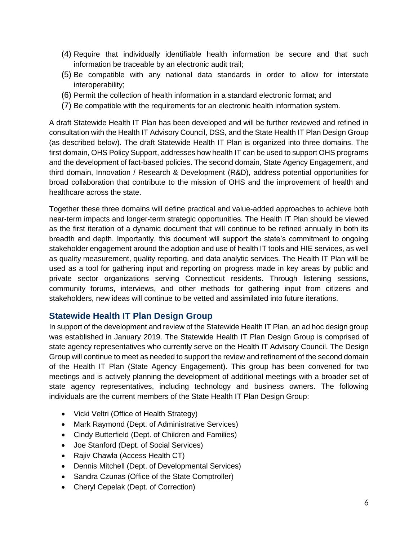- (4) Require that individually identifiable health information be secure and that such information be traceable by an electronic audit trail;
- (5) Be compatible with any national data standards in order to allow for interstate interoperability;
- (6) Permit the collection of health information in a standard electronic format; and
- (7) Be compatible with the requirements for an electronic health information system.

A draft Statewide Health IT Plan has been developed and will be further reviewed and refined in consultation with the Health IT Advisory Council, DSS, and the State Health IT Plan Design Group (as described below). The draft Statewide Health IT Plan is organized into three domains. The first domain, OHS Policy Support, addresses how health IT can be used to support OHS programs and the development of fact-based policies. The second domain, State Agency Engagement, and third domain, Innovation / Research & Development (R&D), address potential opportunities for broad collaboration that contribute to the mission of OHS and the improvement of health and healthcare across the state.

Together these three domains will define practical and value-added approaches to achieve both near-term impacts and longer-term strategic opportunities. The Health IT Plan should be viewed as the first iteration of a dynamic document that will continue to be refined annually in both its breadth and depth. Importantly, this document will support the state's commitment to ongoing stakeholder engagement around the adoption and use of health IT tools and HIE services, as well as quality measurement, quality reporting, and data analytic services. The Health IT Plan will be used as a tool for gathering input and reporting on progress made in key areas by public and private sector organizations serving Connecticut residents. Through listening sessions, community forums, interviews, and other methods for gathering input from citizens and stakeholders, new ideas will continue to be vetted and assimilated into future iterations.

#### <span id="page-6-0"></span>**Statewide Health IT Plan Design Group**

In support of the development and review of the Statewide Health IT Plan, an ad hoc design group was established in January 2019. The Statewide Health IT Plan Design Group is comprised of state agency representatives who currently serve on the Health IT Advisory Council. The Design Group will continue to meet as needed to support the review and refinement of the second domain of the Health IT Plan (State Agency Engagement). This group has been convened for two meetings and is actively planning the development of additional meetings with a broader set of state agency representatives, including technology and business owners. The following individuals are the current members of the State Health IT Plan Design Group:

- Vicki Veltri (Office of Health Strategy)
- Mark Raymond (Dept. of Administrative Services)
- Cindy Butterfield (Dept. of Children and Families)
- Joe Stanford (Dept. of Social Services)
- Rajiv Chawla (Access Health CT)
- Dennis Mitchell (Dept. of Developmental Services)
- Sandra Czunas (Office of the State Comptroller)
- Cheryl Cepelak (Dept. of Correction)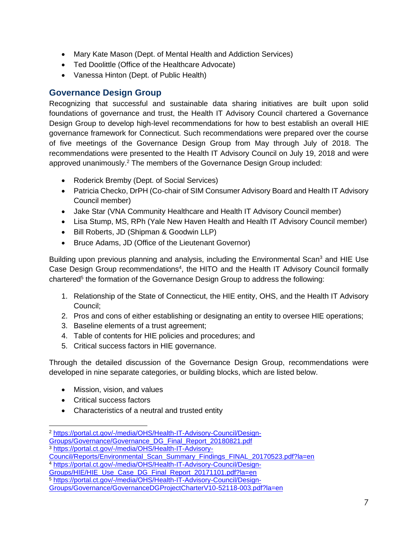- Mary Kate Mason (Dept. of Mental Health and Addiction Services)
- Ted Doolittle (Office of the Healthcare Advocate)
- Vanessa Hinton (Dept. of Public Health)

## <span id="page-7-0"></span>**Governance Design Group**

Recognizing that successful and sustainable data sharing initiatives are built upon solid foundations of governance and trust, the Health IT Advisory Council chartered a Governance Design Group to develop high-level recommendations for how to best establish an overall HIE governance framework for Connecticut. Such recommendations were prepared over the course of five meetings of the Governance Design Group from May through July of 2018. The recommendations were presented to the Health IT Advisory Council on July 19, 2018 and were approved unanimously. <sup>2</sup> The members of the Governance Design Group included:

- Roderick Bremby (Dept. of Social Services)
- Patricia Checko, DrPH (Co-chair of SIM Consumer Advisory Board and Health IT Advisory Council member)
- Jake Star (VNA Community Healthcare and Health IT Advisory Council member)
- Lisa Stump, MS, RPh (Yale New Haven Health and Health IT Advisory Council member)
- Bill Roberts, JD (Shipman & Goodwin LLP)
- Bruce Adams, JD (Office of the Lieutenant Governor)

Building upon previous planning and analysis, including the Environmental Scan<sup>3</sup> and HIE Use Case Design Group recommendations<sup>4</sup>, the HITO and the Health IT Advisory Council formally chartered<sup>5</sup> the formation of the Governance Design Group to address the following:

- 1. Relationship of the State of Connecticut, the HIE entity, OHS, and the Health IT Advisory Council;
- 2. Pros and cons of either establishing or designating an entity to oversee HIE operations;
- 3. Baseline elements of a trust agreement;
- 4. Table of contents for HIE policies and procedures; and
- 5. Critical success factors in HIE governance.

Through the detailed discussion of the Governance Design Group, recommendations were developed in nine separate categories, or building blocks, which are listed below.

- Mission, vision, and values
- Critical success factors
- Characteristics of a neutral and trusted entity

[Council/Reports/Environmental\\_Scan\\_Summary\\_Findings\\_FINAL\\_20170523.pdf?la=en](https://portal.ct.gov/-/media/OHS/Health-IT-Advisory-Council/Reports/Environmental_Scan_Summary_Findings_FINAL_20170523.pdf?la=en) 

<sup>5</sup> [https://portal.ct.gov/-/media/OHS/Health-IT-Advisory-Council/Design-](https://portal.ct.gov/-/media/OHS/Health-IT-Advisory-Council/Design-Groups/Governance/GovernanceDGProjectCharterV10-52118-003.pdf?la=en)

<sup>2</sup> [https://portal.ct.gov/-/media/OHS/Health-IT-Advisory-Council/Design-](https://portal.ct.gov/-/media/OHS/Health-IT-Advisory-Council/Design-Groups/Governance/Governance_DG_Final_Report_20180821.pdf)

[Groups/Governance/Governance\\_DG\\_Final\\_Report\\_20180821.pdf](https://portal.ct.gov/-/media/OHS/Health-IT-Advisory-Council/Design-Groups/Governance/Governance_DG_Final_Report_20180821.pdf) <sup>3</sup> [https://portal.ct.gov/-/media/OHS/Health-IT-Advisory-](https://portal.ct.gov/-/media/OHS/Health-IT-Advisory-Council/Reports/Environmental_Scan_Summary_Findings_FINAL_20170523.pdf?la=en)

<sup>4</sup> [https://portal.ct.gov/-/media/OHS/Health-IT-Advisory-Council/Design-](https://portal.ct.gov/-/media/OHS/Health-IT-Advisory-Council/Design-Groups/HIE/HIE_Use_Case_DG_Final_Report_20171101.pdf?la=en)

[Groups/HIE/HIE\\_Use\\_Case\\_DG\\_Final\\_Report\\_20171101.pdf?la=en](https://portal.ct.gov/-/media/OHS/Health-IT-Advisory-Council/Design-Groups/HIE/HIE_Use_Case_DG_Final_Report_20171101.pdf?la=en) 

[Groups/Governance/GovernanceDGProjectCharterV10-52118-003.pdf?la=en](https://portal.ct.gov/-/media/OHS/Health-IT-Advisory-Council/Design-Groups/Governance/GovernanceDGProjectCharterV10-52118-003.pdf?la=en)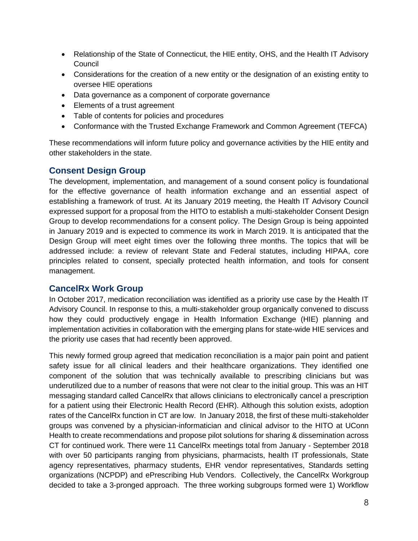- Relationship of the State of Connecticut, the HIE entity, OHS, and the Health IT Advisory Council
- Considerations for the creation of a new entity or the designation of an existing entity to oversee HIE operations
- Data governance as a component of corporate governance
- Elements of a trust agreement
- Table of contents for policies and procedures
- Conformance with the Trusted Exchange Framework and Common Agreement (TEFCA)

These recommendations will inform future policy and governance activities by the HIE entity and other stakeholders in the state.

## <span id="page-8-0"></span>**Consent Design Group**

The development, implementation, and management of a sound consent policy is foundational for the effective governance of health information exchange and an essential aspect of establishing a framework of trust. At its January 2019 meeting, the Health IT Advisory Council expressed support for a proposal from the HITO to establish a multi-stakeholder Consent Design Group to develop recommendations for a consent policy. The Design Group is being appointed in January 2019 and is expected to commence its work in March 2019. It is anticipated that the Design Group will meet eight times over the following three months. The topics that will be addressed include: a review of relevant State and Federal statutes, including HIPAA, core principles related to consent, specially protected health information, and tools for consent management.

## <span id="page-8-1"></span>**CancelRx Work Group**

In October 2017, medication reconciliation was identified as a priority use case by the Health IT Advisory Council. In response to this, a multi-stakeholder group organically convened to discuss how they could productively engage in Health Information Exchange (HIE) planning and implementation activities in collaboration with the emerging plans for state-wide HIE services and the priority use cases that had recently been approved.

This newly formed group agreed that medication reconciliation is a major pain point and patient safety issue for all clinical leaders and their healthcare organizations. They identified one component of the solution that was technically available to prescribing clinicians but was underutilized due to a number of reasons that were not clear to the initial group. This was an HIT messaging standard called CancelRx that allows clinicians to electronically cancel a prescription for a patient using their Electronic Health Record (EHR). Although this solution exists, adoption rates of the CancelRx function in CT are low. In January 2018, the first of these multi-stakeholder groups was convened by a physician-informatician and clinical advisor to the HITO at UConn Health to create recommendations and propose pilot solutions for sharing & dissemination across CT for continued work. There were 11 CancelRx meetings total from January - September 2018 with over 50 participants ranging from physicians, pharmacists, health IT professionals, State agency representatives, pharmacy students, EHR vendor representatives, Standards setting organizations (NCPDP) and ePrescribing Hub Vendors. Collectively, the CancelRx Workgroup decided to take a 3-pronged approach. The three working subgroups formed were 1) Workflow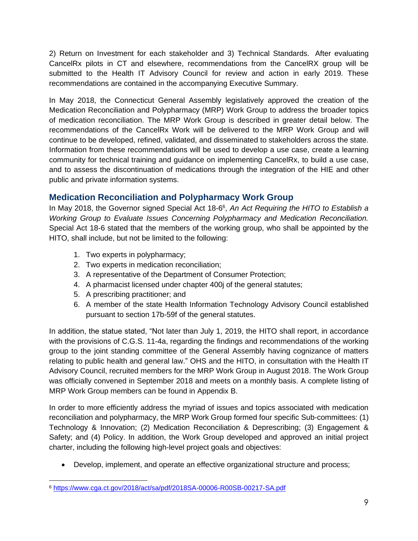2) Return on Investment for each stakeholder and 3) Technical Standards. After evaluating CancelRx pilots in CT and elsewhere, recommendations from the CancelRX group will be submitted to the Health IT Advisory Council for review and action in early 2019. These recommendations are contained in the accompanying Executive Summary.

In May 2018, the Connecticut General Assembly legislatively approved the creation of the Medication Reconciliation and Polypharmacy (MRP) Work Group to address the broader topics of medication reconciliation. The MRP Work Group is described in greater detail below. The recommendations of the CancelRx Work will be delivered to the MRP Work Group and will continue to be developed, refined, validated, and disseminated to stakeholders across the state. Information from these recommendations will be used to develop a use case, create a learning community for technical training and guidance on implementing CancelRx, to build a use case, and to assess the discontinuation of medications through the integration of the HIE and other public and private information systems.

## <span id="page-9-0"></span>**Medication Reconciliation and Polypharmacy Work Group**

In May 2018, the Governor signed Special Act 18-6 6 , *An Act Requiring the HITO to Establish a Working Group to Evaluate Issues Concerning Polypharmacy and Medication Reconciliation.*  Special Act 18-6 stated that the members of the working group, who shall be appointed by the HITO, shall include, but not be limited to the following:

- 1. Two experts in polypharmacy;
- 2. Two experts in medication reconciliation;
- 3. A representative of the Department of Consumer Protection;
- 4. A pharmacist licensed under chapter 400j of the general statutes;
- 5. A prescribing practitioner; and
- 6. A member of the state Health Information Technology Advisory Council established pursuant to section 17b-59f of the general statutes.

In addition, the statue stated, "Not later than July 1, 2019, the HITO shall report, in accordance with the provisions of C.G.S. 11-4a, regarding the findings and recommendations of the working group to the joint standing committee of the General Assembly having cognizance of matters relating to public health and general law." OHS and the HITO, in consultation with the Health IT Advisory Council, recruited members for the MRP Work Group in August 2018. The Work Group was officially convened in September 2018 and meets on a monthly basis. A complete listing of MRP Work Group members can be found in Appendix B.

In order to more efficiently address the myriad of issues and topics associated with medication reconciliation and polypharmacy, the MRP Work Group formed four specific Sub-committees: (1) Technology & Innovation; (2) Medication Reconciliation & Deprescribing; (3) Engagement & Safety; and (4) Policy. In addition, the Work Group developed and approved an initial project charter, including the following high-level project goals and objectives:

• Develop, implement, and operate an effective organizational structure and process;

<sup>6</sup> <https://www.cga.ct.gov/2018/act/sa/pdf/2018SA-00006-R00SB-00217-SA.pdf>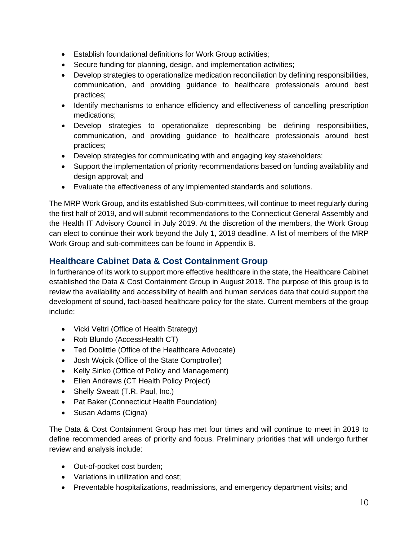- Establish foundational definitions for Work Group activities;
- Secure funding for planning, design, and implementation activities;
- Develop strategies to operationalize medication reconciliation by defining responsibilities, communication, and providing guidance to healthcare professionals around best practices;
- Identify mechanisms to enhance efficiency and effectiveness of cancelling prescription medications;
- Develop strategies to operationalize deprescribing be defining responsibilities, communication, and providing guidance to healthcare professionals around best practices;
- Develop strategies for communicating with and engaging key stakeholders;
- Support the implementation of priority recommendations based on funding availability and design approval; and
- Evaluate the effectiveness of any implemented standards and solutions.

The MRP Work Group, and its established Sub-committees, will continue to meet regularly during the first half of 2019, and will submit recommendations to the Connecticut General Assembly and the Health IT Advisory Council in July 2019. At the discretion of the members, the Work Group can elect to continue their work beyond the July 1, 2019 deadline. A list of members of the MRP Work Group and sub-committees can be found in Appendix B.

## <span id="page-10-0"></span>**Healthcare Cabinet Data & Cost Containment Group**

In furtherance of its work to support more effective healthcare in the state, the Healthcare Cabinet established the Data & Cost Containment Group in August 2018. The purpose of this group is to review the availability and accessibility of health and human services data that could support the development of sound, fact-based healthcare policy for the state. Current members of the group include:

- Vicki Veltri (Office of Health Strategy)
- Rob Blundo (AccessHealth CT)
- Ted Doolittle (Office of the Healthcare Advocate)
- Josh Wojcik (Office of the State Comptroller)
- Kelly Sinko (Office of Policy and Management)
- Ellen Andrews (CT Health Policy Project)
- Shelly Sweatt (T.R. Paul, Inc.)
- Pat Baker (Connecticut Health Foundation)
- Susan Adams (Cigna)

The Data & Cost Containment Group has met four times and will continue to meet in 2019 to define recommended areas of priority and focus. Preliminary priorities that will undergo further review and analysis include:

- Out-of-pocket cost burden;
- Variations in utilization and cost;
- Preventable hospitalizations, readmissions, and emergency department visits; and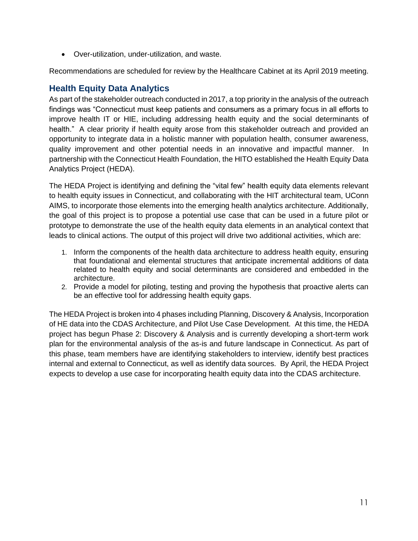• Over-utilization, under-utilization, and waste.

Recommendations are scheduled for review by the Healthcare Cabinet at its April 2019 meeting.

### <span id="page-11-0"></span>**Health Equity Data Analytics**

As part of the stakeholder outreach conducted in 2017, a top priority in the analysis of the outreach findings was "Connecticut must keep patients and consumers as a primary focus in all efforts to improve health IT or HIE, including addressing health equity and the social determinants of health." A clear priority if health equity arose from this stakeholder outreach and provided an opportunity to integrate data in a holistic manner with population health, consumer awareness, quality improvement and other potential needs in an innovative and impactful manner. In partnership with the Connecticut Health Foundation, the HITO established the Health Equity Data Analytics Project (HEDA).

The HEDA Project is identifying and defining the "vital few" health equity data elements relevant to health equity issues in Connecticut, and collaborating with the HIT architectural team, UConn AIMS, to incorporate those elements into the emerging health analytics architecture. Additionally, the goal of this project is to propose a potential use case that can be used in a future pilot or prototype to demonstrate the use of the health equity data elements in an analytical context that leads to clinical actions. The output of this project will drive two additional activities, which are:

- 1. Inform the components of the health data architecture to address health equity, ensuring that foundational and elemental structures that anticipate incremental additions of data related to health equity and social determinants are considered and embedded in the architecture.
- 2. Provide a model for piloting, testing and proving the hypothesis that proactive alerts can be an effective tool for addressing health equity gaps.

The HEDA Project is broken into 4 phases including Planning, Discovery & Analysis, Incorporation of HE data into the CDAS Architecture, and Pilot Use Case Development. At this time, the HEDA project has begun Phase 2: Discovery & Analysis and is currently developing a short-term work plan for the environmental analysis of the as-is and future landscape in Connecticut. As part of this phase, team members have are identifying stakeholders to interview, identify best practices internal and external to Connecticut, as well as identify data sources. By April, the HEDA Project expects to develop a use case for incorporating health equity data into the CDAS architecture.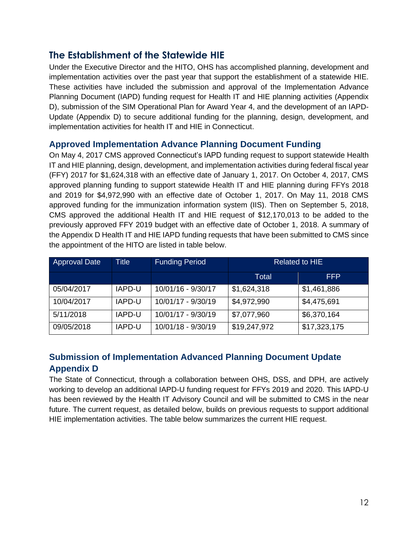## <span id="page-12-0"></span>**The Establishment of the Statewide HIE**

Under the Executive Director and the HITO, OHS has accomplished planning, development and implementation activities over the past year that support the establishment of a statewide HIE. These activities have included the submission and approval of the Implementation Advance Planning Document (IAPD) funding request for Health IT and HIE planning activities (Appendix D), submission of the SIM Operational Plan for Award Year 4, and the development of an IAPD-Update (Appendix D) to secure additional funding for the planning, design, development, and implementation activities for health IT and HIE in Connecticut.

#### <span id="page-12-1"></span>**Approved Implementation Advance Planning Document Funding**

On May 4, 2017 CMS approved Connecticut's IAPD funding request to support statewide Health IT and HIE planning, design, development, and implementation activities during federal fiscal year (FFY) 2017 for \$1,624,318 with an effective date of January 1, 2017. On October 4, 2017, CMS approved planning funding to support statewide Health IT and HIE planning during FFYs 2018 and 2019 for \$4,972,990 with an effective date of October 1, 2017. On May 11, 2018 CMS approved funding for the immunization information system (IIS). Then on September 5, 2018, CMS approved the additional Health IT and HIE request of \$12,170,013 to be added to the previously approved FFY 2019 budget with an effective date of October 1, 2018. A summary of the Appendix D Health IT and HIE IAPD funding requests that have been submitted to CMS since the appointment of the HITO are listed in table below.

| <b>Approval Date</b> | <b>Title</b> | <b>Funding Period</b> | <b>Related to HIE</b> |              |
|----------------------|--------------|-----------------------|-----------------------|--------------|
|                      |              |                       | Total                 | <b>FFP</b>   |
| 05/04/2017           | IAPD-U       | 10/01/16 - 9/30/17    | \$1,624,318           | \$1,461,886  |
| 10/04/2017           | IAPD-U       | 10/01/17 - 9/30/19    | \$4,972,990           | \$4,475,691  |
| 5/11/2018            | IAPD-U       | 10/01/17 - 9/30/19    | \$7,077,960           | \$6,370,164  |
| 09/05/2018           | IAPD-U       | 10/01/18 - 9/30/19    | \$19,247,972          | \$17,323,175 |

## <span id="page-12-2"></span>**Submission of Implementation Advanced Planning Document Update Appendix D**

The State of Connecticut, through a collaboration between OHS, DSS, and DPH, are actively working to develop an additional IAPD-U funding request for FFYs 2019 and 2020. This IAPD-U has been reviewed by the Health IT Advisory Council and will be submitted to CMS in the near future. The current request, as detailed below, builds on previous requests to support additional HIE implementation activities. The table below summarizes the current HIE request.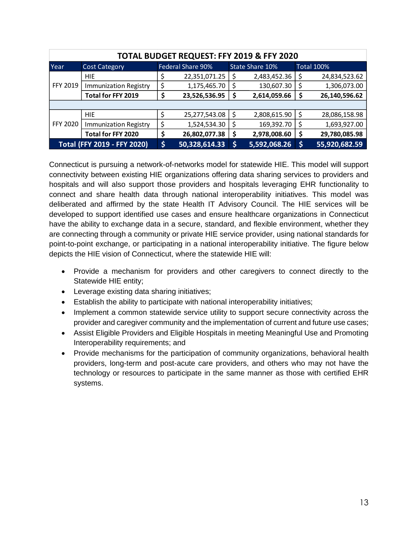| TOTAL BUDGET REQUEST: FFY 2019 & FFY 2020 |                              |    |                   |     |                 |    |                   |
|-------------------------------------------|------------------------------|----|-------------------|-----|-----------------|----|-------------------|
| Year                                      | <b>Cost Category</b>         |    | Federal Share 90% |     | State Share 10% |    | <b>Total 100%</b> |
| <b>FFY 2019</b>                           | <b>HIE</b>                   | Ş  | 22,351,071.25     |     | 2,483,452.36    |    | 24,834,523.62     |
|                                           | <b>Immunization Registry</b> | \$ | 1,175,465.70      | \$, | 130,607.30      | \$ | 1,306,073.00      |
|                                           | Total for FFY 2019           | Ş  | 23,526,536.95     | \$  | 2,614,059.66    |    | 26,140,596.62     |
|                                           |                              |    |                   |     |                 |    |                   |
| FFY 2020                                  | <b>HIE</b>                   | \$ | 25,277,543.08     | S   | 2,808,615.90    | Ş  | 28,086,158.98     |
|                                           | <b>Immunization Registry</b> | \$ | 1,524,534.30      | \$  | 169,392.70      |    | 1,693,927.00      |
|                                           | Total for FFY 2020           | \$ | 26,802,077.38     | \$  | 2,978,008.60    | Ş  | 29,780,085.98     |
| <b>Total (FFY 2019 - FFY 2020)</b>        |                              | \$ | 50,328,614.33     | S   | 5,592,068.26    |    | 55,920,682.59     |

Connecticut is pursuing a network-of-networks model for statewide HIE. This model will support connectivity between existing HIE organizations offering data sharing services to providers and hospitals and will also support those providers and hospitals leveraging EHR functionality to connect and share health data through national interoperability initiatives. This model was deliberated and affirmed by the state Health IT Advisory Council. The HIE services will be developed to support identified use cases and ensure healthcare organizations in Connecticut have the ability to exchange data in a secure, standard, and flexible environment, whether they are connecting through a community or private HIE service provider, using national standards for point-to-point exchange, or participating in a national interoperability initiative. The figure below depicts the HIE vision of Connecticut, where the statewide HIE will:

- Provide a mechanism for providers and other caregivers to connect directly to the Statewide HIE entity;
- Leverage existing data sharing initiatives;
- Establish the ability to participate with national interoperability initiatives;
- Implement a common statewide service utility to support secure connectivity across the provider and caregiver community and the implementation of current and future use cases;
- Assist Eligible Providers and Eligible Hospitals in meeting Meaningful Use and Promoting Interoperability requirements; and
- Provide mechanisms for the participation of community organizations, behavioral health providers, long-term and post-acute care providers, and others who may not have the technology or resources to participate in the same manner as those with certified EHR systems.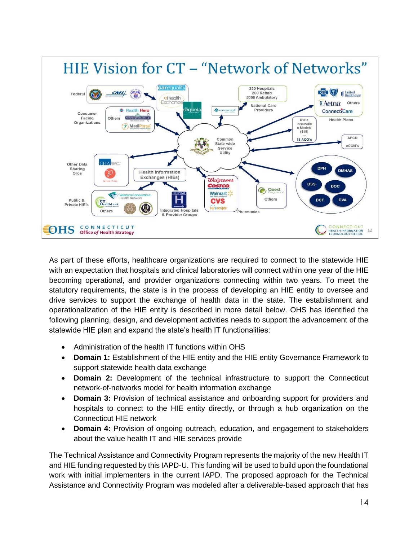

As part of these efforts, healthcare organizations are required to connect to the statewide HIE with an expectation that hospitals and clinical laboratories will connect within one year of the HIE becoming operational, and provider organizations connecting within two years. To meet the statutory requirements, the state is in the process of developing an HIE entity to oversee and drive services to support the exchange of health data in the state. The establishment and operationalization of the HIE entity is described in more detail below. OHS has identified the following planning, design, and development activities needs to support the advancement of the statewide HIE plan and expand the state's health IT functionalities:

- Administration of the health IT functions within OHS
- **Domain 1:** Establishment of the HIE entity and the HIE entity Governance Framework to support statewide health data exchange
- **Domain 2:** Development of the technical infrastructure to support the Connecticut network-of-networks model for health information exchange
- **Domain 3:** Provision of technical assistance and onboarding support for providers and hospitals to connect to the HIE entity directly, or through a hub organization on the Connecticut HIE network
- **Domain 4:** Provision of ongoing outreach, education, and engagement to stakeholders about the value health IT and HIE services provide

The Technical Assistance and Connectivity Program represents the majority of the new Health IT and HIE funding requested by this IAPD-U. This funding will be used to build upon the foundational work with initial implementers in the current IAPD. The proposed approach for the Technical Assistance and Connectivity Program was modeled after a deliverable-based approach that has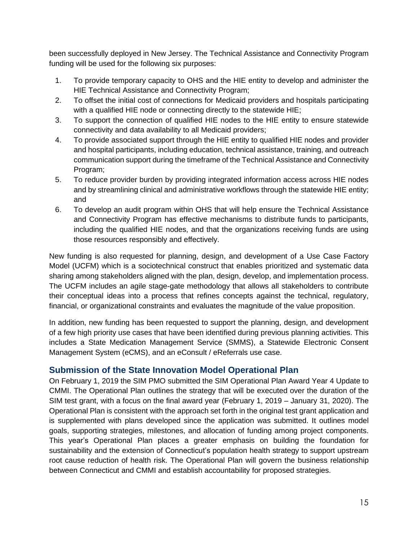been successfully deployed in New Jersey. The Technical Assistance and Connectivity Program funding will be used for the following six purposes:

- 1. To provide temporary capacity to OHS and the HIE entity to develop and administer the HIE Technical Assistance and Connectivity Program;
- 2. To offset the initial cost of connections for Medicaid providers and hospitals participating with a qualified HIE node or connecting directly to the statewide HIE;
- 3. To support the connection of qualified HIE nodes to the HIE entity to ensure statewide connectivity and data availability to all Medicaid providers;
- 4. To provide associated support through the HIE entity to qualified HIE nodes and provider and hospital participants, including education, technical assistance, training, and outreach communication support during the timeframe of the Technical Assistance and Connectivity Program;
- 5. To reduce provider burden by providing integrated information access across HIE nodes and by streamlining clinical and administrative workflows through the statewide HIE entity; and
- 6. To develop an audit program within OHS that will help ensure the Technical Assistance and Connectivity Program has effective mechanisms to distribute funds to participants, including the qualified HIE nodes, and that the organizations receiving funds are using those resources responsibly and effectively.

New funding is also requested for planning, design, and development of a Use Case Factory Model (UCFM) which is a sociotechnical construct that enables prioritized and systematic data sharing among stakeholders aligned with the plan, design, develop, and implementation process. The UCFM includes an agile stage-gate methodology that allows all stakeholders to contribute their conceptual ideas into a process that refines concepts against the technical, regulatory, financial, or organizational constraints and evaluates the magnitude of the value proposition.

In addition, new funding has been requested to support the planning, design, and development of a few high priority use cases that have been identified during previous planning activities. This includes a State Medication Management Service (SMMS), a Statewide Electronic Consent Management System (eCMS), and an eConsult / eReferrals use case.

#### <span id="page-15-0"></span>**Submission of the State Innovation Model Operational Plan**

On February 1, 2019 the SIM PMO submitted the SIM Operational Plan Award Year 4 Update to CMMI. The Operational Plan outlines the strategy that will be executed over the duration of the SIM test grant, with a focus on the final award year (February 1, 2019 – January 31, 2020). The Operational Plan is consistent with the approach set forth in the original test grant application and is supplemented with plans developed since the application was submitted. It outlines model goals, supporting strategies, milestones, and allocation of funding among project components. This year's Operational Plan places a greater emphasis on building the foundation for sustainability and the extension of Connecticut's population health strategy to support upstream root cause reduction of health risk. The Operational Plan will govern the business relationship between Connecticut and CMMI and establish accountability for proposed strategies.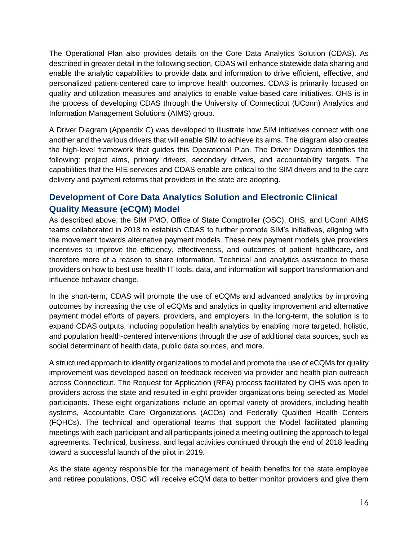The Operational Plan also provides details on the Core Data Analytics Solution (CDAS). As described in greater detail in the following section, CDAS will enhance statewide data sharing and enable the analytic capabilities to provide data and information to drive efficient, effective, and personalized patient-centered care to improve health outcomes. CDAS is primarily focused on quality and utilization measures and analytics to enable value-based care initiatives. OHS is in the process of developing CDAS through the University of Connecticut (UConn) Analytics and Information Management Solutions (AIMS) group.

A Driver Diagram (Appendix C) was developed to illustrate how SIM initiatives connect with one another and the various drivers that will enable SIM to achieve its aims. The diagram also creates the high-level framework that guides this Operational Plan. The Driver Diagram identifies the following: project aims, primary drivers, secondary drivers, and accountability targets. The capabilities that the HIE services and CDAS enable are critical to the SIM drivers and to the care delivery and payment reforms that providers in the state are adopting.

## <span id="page-16-0"></span>**Development of Core Data Analytics Solution and Electronic Clinical Quality Measure (eCQM) Model**

As described above, the SIM PMO, Office of State Comptroller (OSC), OHS, and UConn AIMS teams collaborated in 2018 to establish CDAS to further promote SIM's initiatives, aligning with the movement towards alternative payment models. These new payment models give providers incentives to improve the efficiency, effectiveness, and outcomes of patient healthcare, and therefore more of a reason to share information. Technical and analytics assistance to these providers on how to best use health IT tools, data, and information will support transformation and influence behavior change.

In the short-term, CDAS will promote the use of eCQMs and advanced analytics by improving outcomes by increasing the use of eCQMs and analytics in quality improvement and alternative payment model efforts of payers, providers, and employers. In the long-term, the solution is to expand CDAS outputs, including population health analytics by enabling more targeted, holistic, and population health-centered interventions through the use of additional data sources, such as social determinant of health data, public data sources, and more.

A structured approach to identify organizations to model and promote the use of eCQMs for quality improvement was developed based on feedback received via provider and health plan outreach across Connecticut. The Request for Application (RFA) process facilitated by OHS was open to providers across the state and resulted in eight provider organizations being selected as Model participants. These eight organizations include an optimal variety of providers, including health systems, Accountable Care Organizations (ACOs) and Federally Qualified Health Centers (FQHCs). The technical and operational teams that support the Model facilitated planning meetings with each participant and all participants joined a meeting outlining the approach to legal agreements. Technical, business, and legal activities continued through the end of 2018 leading toward a successful launch of the pilot in 2019.

As the state agency responsible for the management of health benefits for the state employee and retiree populations, OSC will receive eCQM data to better monitor providers and give them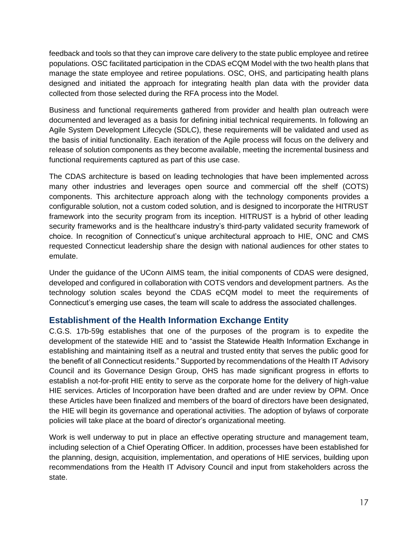feedback and tools so that they can improve care delivery to the state public employee and retiree populations. OSC facilitated participation in the CDAS eCQM Model with the two health plans that manage the state employee and retiree populations. OSC, OHS, and participating health plans designed and initiated the approach for integrating health plan data with the provider data collected from those selected during the RFA process into the Model.

Business and functional requirements gathered from provider and health plan outreach were documented and leveraged as a basis for defining initial technical requirements. In following an Agile System Development Lifecycle (SDLC), these requirements will be validated and used as the basis of initial functionality. Each iteration of the Agile process will focus on the delivery and release of solution components as they become available, meeting the incremental business and functional requirements captured as part of this use case.

The CDAS architecture is based on leading technologies that have been implemented across many other industries and leverages open source and commercial off the shelf (COTS) components. This architecture approach along with the technology components provides a configurable solution, not a custom coded solution, and is designed to incorporate the HITRUST framework into the security program from its inception. HITRUST is a hybrid of other leading security frameworks and is the healthcare industry's third-party validated security framework of choice. In recognition of Connecticut's unique architectural approach to HIE, ONC and CMS requested Connecticut leadership share the design with national audiences for other states to emulate.

Under the guidance of the UConn AIMS team, the initial components of CDAS were designed, developed and configured in collaboration with COTS vendors and development partners. As the technology solution scales beyond the CDAS eCQM model to meet the requirements of Connecticut's emerging use cases, the team will scale to address the associated challenges.

## <span id="page-17-0"></span>**Establishment of the Health Information Exchange Entity**

C.G.S. 17b-59g establishes that one of the purposes of the program is to expedite the development of the statewide HIE and to "assist the Statewide Health Information Exchange in establishing and maintaining itself as a neutral and trusted entity that serves the public good for the benefit of all Connecticut residents." Supported by recommendations of the Health IT Advisory Council and its Governance Design Group, OHS has made significant progress in efforts to establish a not-for-profit HIE entity to serve as the corporate home for the delivery of high-value HIE services. Articles of Incorporation have been drafted and are under review by OPM. Once these Articles have been finalized and members of the board of directors have been designated, the HIE will begin its governance and operational activities. The adoption of bylaws of corporate policies will take place at the board of director's organizational meeting.

Work is well underway to put in place an effective operating structure and management team, including selection of a Chief Operating Officer. In addition, processes have been established for the planning, design, acquisition, implementation, and operations of HIE services, building upon recommendations from the Health IT Advisory Council and input from stakeholders across the state.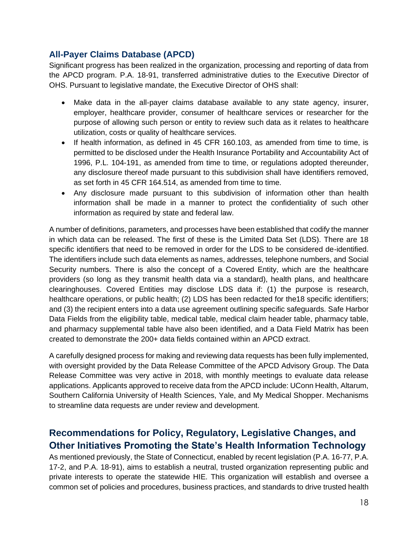## <span id="page-18-0"></span>**All-Payer Claims Database (APCD)**

Significant progress has been realized in the organization, processing and reporting of data from the APCD program. P.A. 18-91, transferred administrative duties to the Executive Director of OHS. Pursuant to legislative mandate, the Executive Director of OHS shall:

- Make data in the all-payer claims database available to any state agency, insurer, employer, healthcare provider, consumer of healthcare services or researcher for the purpose of allowing such person or entity to review such data as it relates to healthcare utilization, costs or quality of healthcare services.
- If health information, as defined in 45 CFR 160.103, as amended from time to time, is permitted to be disclosed under the Health Insurance Portability and Accountability Act of 1996, P.L. 104-191, as amended from time to time, or regulations adopted thereunder, any disclosure thereof made pursuant to this subdivision shall have identifiers removed, as set forth in 45 CFR 164.514, as amended from time to time.
- Any disclosure made pursuant to this subdivision of information other than health information shall be made in a manner to protect the confidentiality of such other information as required by state and federal law.

A number of definitions, parameters, and processes have been established that codify the manner in which data can be released. The first of these is the Limited Data Set (LDS). There are 18 specific identifiers that need to be removed in order for the LDS to be considered de-identified. The identifiers include such data elements as names, addresses, telephone numbers, and Social Security numbers. There is also the concept of a Covered Entity, which are the healthcare providers (so long as they transmit health data via a standard), health plans, and healthcare clearinghouses. Covered Entities may disclose LDS data if: (1) the purpose is research, healthcare operations, or public health; (2) LDS has been redacted for the 18 specific identifiers; and (3) the recipient enters into a data use agreement outlining specific safeguards. Safe Harbor Data Fields from the eligibility table, medical table, medical claim header table, pharmacy table, and pharmacy supplemental table have also been identified, and a Data Field Matrix has been created to demonstrate the 200+ data fields contained within an APCD extract.

A carefully designed process for making and reviewing data requests has been fully implemented, with oversight provided by the Data Release Committee of the APCD Advisory Group. The Data Release Committee was very active in 2018, with monthly meetings to evaluate data release applications. Applicants approved to receive data from the APCD include: UConn Health, Altarum, Southern California University of Health Sciences, Yale, and My Medical Shopper. Mechanisms to streamline data requests are under review and development.

## <span id="page-18-1"></span>**Recommendations for Policy, Regulatory, Legislative Changes, and Other Initiatives Promoting the State's Health Information Technology**

As mentioned previously, the State of Connecticut, enabled by recent legislation (P.A. 16-77, P.A. 17-2, and P.A. 18-91), aims to establish a neutral, trusted organization representing public and private interests to operate the statewide HIE. This organization will establish and oversee a common set of policies and procedures, business practices, and standards to drive trusted health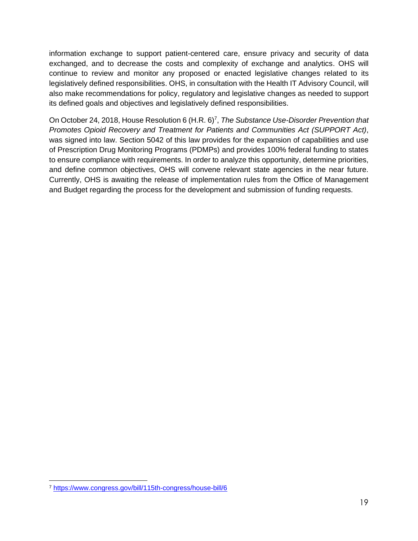information exchange to support patient-centered care, ensure privacy and security of data exchanged, and to decrease the costs and complexity of exchange and analytics. OHS will continue to review and monitor any proposed or enacted legislative changes related to its legislatively defined responsibilities. OHS, in consultation with the Health IT Advisory Council, will also make recommendations for policy, regulatory and legislative changes as needed to support its defined goals and objectives and legislatively defined responsibilities.

On October 24, 2018, House Resolution 6 (H.R. 6)<sup>7</sup>, The Substance Use-Disorder Prevention that *Promotes Opioid Recovery and Treatment for Patients and Communities Act (SUPPORT Act)*, was signed into law. Section 5042 of this law provides for the expansion of capabilities and use of Prescription Drug Monitoring Programs (PDMPs) and provides 100% federal funding to states to ensure compliance with requirements. In order to analyze this opportunity, determine priorities, and define common objectives, OHS will convene relevant state agencies in the near future. Currently, OHS is awaiting the release of implementation rules from the Office of Management and Budget regarding the process for the development and submission of funding requests.

<sup>7</sup> <https://www.congress.gov/bill/115th-congress/house-bill/6>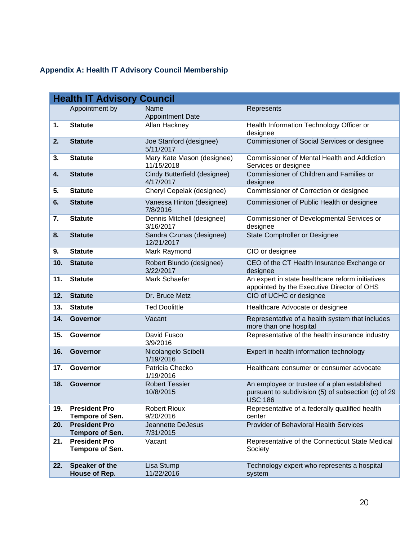## <span id="page-20-0"></span>**Appendix A: Health IT Advisory Council Membership**

|     | <b>Health IT Advisory Council</b>              |                                           |                                                                                                                |  |  |  |
|-----|------------------------------------------------|-------------------------------------------|----------------------------------------------------------------------------------------------------------------|--|--|--|
|     | Appointment by                                 | Name                                      | Represents                                                                                                     |  |  |  |
| 1.  | <b>Statute</b>                                 | <b>Appointment Date</b><br>Allan Hackney  | Health Information Technology Officer or<br>designee                                                           |  |  |  |
| 2.  | <b>Statute</b>                                 | Joe Stanford (designee)<br>5/11/2017      | Commissioner of Social Services or designee                                                                    |  |  |  |
| 3.  | <b>Statute</b>                                 | Mary Kate Mason (designee)<br>11/15/2018  | <b>Commissioner of Mental Health and Addiction</b><br>Services or designee                                     |  |  |  |
| 4.  | <b>Statute</b>                                 | Cindy Butterfield (designee)<br>4/17/2017 | Commissioner of Children and Families or<br>designee                                                           |  |  |  |
| 5.  | <b>Statute</b>                                 | Cheryl Cepelak (designee)                 | Commissioner of Correction or designee                                                                         |  |  |  |
| 6.  | <b>Statute</b>                                 | Vanessa Hinton (designee)<br>7/8/2016     | Commissioner of Public Health or designee                                                                      |  |  |  |
| 7.  | <b>Statute</b>                                 | Dennis Mitchell (designee)<br>3/16/2017   | Commissioner of Developmental Services or<br>designee                                                          |  |  |  |
| 8.  | <b>Statute</b>                                 | Sandra Czunas (designee)<br>12/21/2017    | <b>State Comptroller or Designee</b>                                                                           |  |  |  |
| 9.  | <b>Statute</b>                                 | Mark Raymond                              | CIO or designee                                                                                                |  |  |  |
| 10. | <b>Statute</b>                                 | Robert Blundo (designee)<br>3/22/2017     | CEO of the CT Health Insurance Exchange or<br>designee                                                         |  |  |  |
| 11. | <b>Statute</b>                                 | Mark Schaefer                             | An expert in state healthcare reform initiatives<br>appointed by the Executive Director of OHS                 |  |  |  |
| 12. | <b>Statute</b>                                 | Dr. Bruce Metz                            | CIO of UCHC or designee                                                                                        |  |  |  |
| 13. | <b>Statute</b>                                 | <b>Ted Doolittle</b>                      | Healthcare Advocate or designee                                                                                |  |  |  |
| 14. | <b>Governor</b>                                | Vacant                                    | Representative of a health system that includes<br>more than one hospital                                      |  |  |  |
| 15. | Governor                                       | David Fusco<br>3/9/2016                   | Representative of the health insurance industry                                                                |  |  |  |
| 16. | <b>Governor</b>                                | Nicolangelo Scibelli<br>1/19/2016         | Expert in health information technology                                                                        |  |  |  |
| 17. | Governor                                       | Patricia Checko<br>1/19/2016              | Healthcare consumer or consumer advocate                                                                       |  |  |  |
| 18. | <b>Governor</b>                                | <b>Robert Tessier</b><br>10/8/2015        | An employee or trustee of a plan established<br>pursuant to subdivision (5) of subsection (c) of 29<br>USC 186 |  |  |  |
| 19. | <b>President Pro</b><br>Tempore of Sen.        | <b>Robert Rioux</b><br>9/20/2016          | Representative of a federally qualified health<br>center                                                       |  |  |  |
| 20. | <b>President Pro</b><br><b>Tempore of Sen.</b> | Jeannette DeJesus<br>7/31/2015            | Provider of Behavioral Health Services                                                                         |  |  |  |
| 21. | <b>President Pro</b><br>Tempore of Sen.        | Vacant                                    | Representative of the Connecticut State Medical<br>Society                                                     |  |  |  |
| 22. | Speaker of the<br>House of Rep.                | Lisa Stump<br>11/22/2016                  | Technology expert who represents a hospital<br>system                                                          |  |  |  |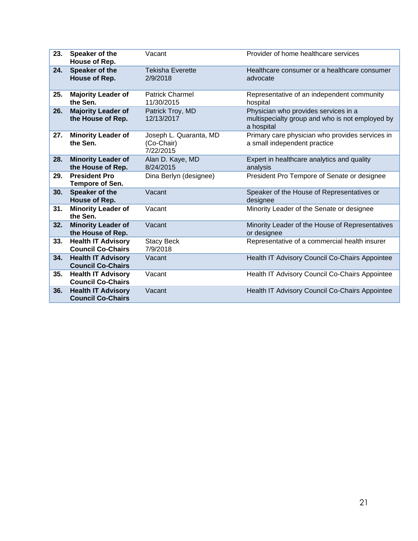| 23. | Speaker of the<br>House of Rep.                       | Vacant                                            | Provider of home healthcare services                                                                  |
|-----|-------------------------------------------------------|---------------------------------------------------|-------------------------------------------------------------------------------------------------------|
| 24. | Speaker of the<br>House of Rep.                       | <b>Tekisha Everette</b><br>2/9/2018               | Healthcare consumer or a healthcare consumer<br>advocate                                              |
| 25. | <b>Majority Leader of</b><br>the Sen.                 | <b>Patrick Charmel</b><br>11/30/2015              | Representative of an independent community<br>hospital                                                |
| 26. | <b>Majority Leader of</b><br>the House of Rep.        | Patrick Troy, MD<br>12/13/2017                    | Physician who provides services in a<br>multispecialty group and who is not employed by<br>a hospital |
| 27. | <b>Minority Leader of</b><br>the Sen.                 | Joseph L. Quaranta, MD<br>(Co-Chair)<br>7/22/2015 | Primary care physician who provides services in<br>a small independent practice                       |
| 28. | <b>Minority Leader of</b><br>the House of Rep.        | Alan D. Kaye, MD<br>8/24/2015                     | Expert in healthcare analytics and quality<br>analysis                                                |
| 29. | <b>President Pro</b><br>Tempore of Sen.               | Dina Berlyn (designee)                            | President Pro Tempore of Senate or designee                                                           |
| 30. | Speaker of the<br>House of Rep.                       | Vacant                                            | Speaker of the House of Representatives or<br>designee                                                |
| 31. | <b>Minority Leader of</b><br>the Sen.                 | Vacant                                            | Minority Leader of the Senate or designee                                                             |
| 32. | <b>Minority Leader of</b><br>the House of Rep.        | Vacant                                            | Minority Leader of the House of Representatives<br>or designee                                        |
| 33. | <b>Health IT Advisory</b><br><b>Council Co-Chairs</b> | <b>Stacy Beck</b><br>7/9/2018                     | Representative of a commercial health insurer                                                         |
| 34. | <b>Health IT Advisory</b><br><b>Council Co-Chairs</b> | Vacant                                            | Health IT Advisory Council Co-Chairs Appointee                                                        |
| 35. | <b>Health IT Advisory</b><br><b>Council Co-Chairs</b> | Vacant                                            | Health IT Advisory Council Co-Chairs Appointee                                                        |
| 36. | <b>Health IT Advisory</b><br><b>Council Co-Chairs</b> | Vacant                                            | Health IT Advisory Council Co-Chairs Appointee                                                        |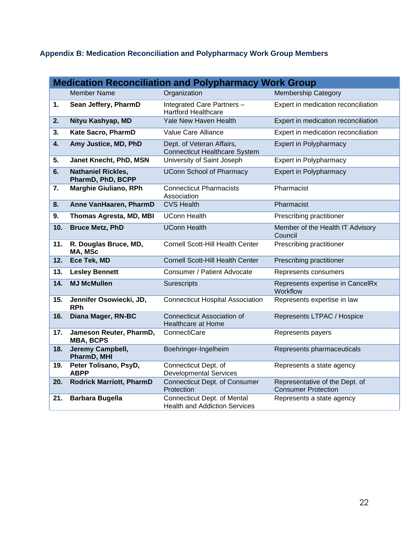## <span id="page-22-0"></span>**Appendix B: Medication Reconciliation and Polypharmacy Work Group Members**

| <b>Medication Reconciliation and Polypharmacy Work Group</b> |                                                |                                                                            |                                                              |  |
|--------------------------------------------------------------|------------------------------------------------|----------------------------------------------------------------------------|--------------------------------------------------------------|--|
|                                                              | <b>Member Name</b>                             | Organization                                                               | <b>Membership Category</b>                                   |  |
| 1.                                                           | Sean Jeffery, PharmD                           | Integrated Care Partners -<br><b>Hartford Healthcare</b>                   | Expert in medication reconciliation                          |  |
| 2.                                                           | Nityu Kashyap, MD                              | Yale New Haven Health                                                      | Expert in medication reconciliation                          |  |
| 3.                                                           | Kate Sacro, PharmD                             | Value Care Alliance                                                        | Expert in medication reconciliation                          |  |
| $\boldsymbol{4}$ .                                           | Amy Justice, MD, PhD                           | Dept. of Veteran Affairs,<br><b>Connecticut Healthcare System</b>          | <b>Expert in Polypharmacy</b>                                |  |
| 5.                                                           | Janet Knecht, PhD, MSN                         | University of Saint Joseph                                                 | <b>Expert in Polypharmacy</b>                                |  |
| 6.                                                           | <b>Nathaniel Rickles,</b><br>PharmD, PhD, BCPP | <b>UConn School of Pharmacy</b>                                            | <b>Expert in Polypharmacy</b>                                |  |
| 7.                                                           | Marghie Giuliano, RPh                          | <b>Connecticut Pharmacists</b><br>Association                              | Pharmacist                                                   |  |
| 8.                                                           | Anne VanHaaren, PharmD                         | <b>CVS Health</b>                                                          | Pharmacist                                                   |  |
| 9.                                                           | Thomas Agresta, MD, MBI                        | <b>UConn Health</b>                                                        | Prescribing practitioner                                     |  |
| 10.                                                          | <b>Bruce Metz, PhD</b>                         | <b>UConn Health</b>                                                        | Member of the Health IT Advisory<br>Council                  |  |
| 11.                                                          | R. Douglas Bruce, MD,<br>MA, MSc               | <b>Cornell Scott-Hill Health Center</b>                                    | Prescribing practitioner                                     |  |
| 12.                                                          | Ece Tek, MD                                    | Cornell Scott-Hill Health Center                                           | Prescribing practitioner                                     |  |
| 13.                                                          | <b>Lesley Bennett</b>                          | Consumer / Patient Advocate                                                | Represents consumers                                         |  |
| 14.                                                          | <b>MJ McMullen</b>                             | Surescripts                                                                | Represents expertise in CancelRx<br>Workflow                 |  |
| 15.                                                          | Jennifer Osowiecki, JD,<br><b>RPh</b>          | <b>Connecticut Hospital Association</b>                                    | Represents expertise in law                                  |  |
| 16.                                                          | Diana Mager, RN-BC                             | <b>Connecticut Association of</b><br>Healthcare at Home                    | Represents LTPAC / Hospice                                   |  |
| 17.                                                          | Jameson Reuter, PharmD,<br><b>MBA, BCPS</b>    | ConnectiCare                                                               | Represents payers                                            |  |
| 18.                                                          | Jeremy Campbell,<br>PharmD, MHI                | Boehringer-Ingelheim                                                       | Represents pharmaceuticals                                   |  |
| 19.                                                          | Peter Tolisano, PsyD,<br><b>ABPP</b>           | Connecticut Dept. of<br><b>Developmental Services</b>                      | Represents a state agency                                    |  |
| 20.                                                          | <b>Rodrick Marriott, PharmD</b>                | <b>Connecticut Dept. of Consumer</b><br>Protection                         | Representative of the Dept. of<br><b>Consumer Protection</b> |  |
| 21.                                                          | <b>Barbara Bugella</b>                         | <b>Connecticut Dept. of Mental</b><br><b>Health and Addiction Services</b> | Represents a state agency                                    |  |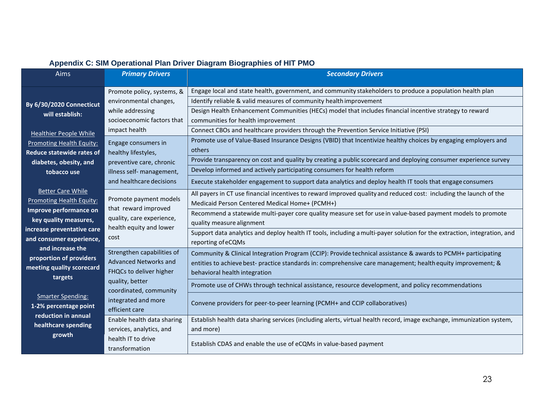<span id="page-23-0"></span>

| Aims                                        | <b>Primary Drivers</b>                                                                    | <b>Secondary Drivers</b>                                                                                                 |  |  |
|---------------------------------------------|-------------------------------------------------------------------------------------------|--------------------------------------------------------------------------------------------------------------------------|--|--|
|                                             | Promote policy, systems, &                                                                | Engage local and state health, government, and community stakeholders to produce a population health plan                |  |  |
| By 6/30/2020 Connecticut                    | environmental changes,<br>while addressing<br>socioeconomic factors that<br>impact health | Identify reliable & valid measures of community health improvement                                                       |  |  |
| will establish:                             |                                                                                           | Design Health Enhancement Communities (HECs) model that includes financial incentive strategy to reward                  |  |  |
|                                             |                                                                                           | communities for health improvement                                                                                       |  |  |
| <b>Healthier People While</b>               |                                                                                           | Connect CBOs and healthcare providers through the Prevention Service Initiative (PSI)                                    |  |  |
| <b>Promoting Health Equity:</b>             | Engage consumers in                                                                       | Promote use of Value-Based Insurance Designs (VBID) that Incentivize healthy choices by engaging employers and           |  |  |
| <b>Reduce statewide rates of</b>            | healthy lifestyles,                                                                       | others                                                                                                                   |  |  |
| diabetes, obesity, and                      | preventive care, chronic                                                                  | Provide transparency on cost and quality by creating a public scorecard and deploying consumer experience survey         |  |  |
| tobacco use                                 | illness self- management,                                                                 | Develop informed and actively participating consumers for health reform                                                  |  |  |
|                                             | and healthcare decisions                                                                  | Execute stakeholder engagement to support data analytics and deploy health IT tools that engage consumers                |  |  |
| <b>Better Care While</b>                    |                                                                                           | All payers in CT use financial incentives to reward improved quality and reduced cost: including the launch of the       |  |  |
| Promoting Health Equity:                    | Promote payment models                                                                    | Medicaid Person Centered Medical Home+ (PCMH+)                                                                           |  |  |
| Improve performance on                      | that reward improved                                                                      | Recommend a statewide multi-payer core quality measure set for use in value-based payment models to promote              |  |  |
| key quality measures,                       | quality, care experience,<br>health equity and lower<br>cost                              | quality measure alignment                                                                                                |  |  |
| increase preventative care                  |                                                                                           | Support data analytics and deploy health IT tools, including a multi-payer solution for the extraction, integration, and |  |  |
| and consumer experience,                    |                                                                                           | reporting of eCQMs                                                                                                       |  |  |
| and increase the<br>proportion of providers | Strengthen capabilities of                                                                | Community & Clinical Integration Program (CCIP): Provide technical assistance & awards to PCMH+ participating            |  |  |
| meeting quality scorecard                   | <b>Advanced Networks and</b>                                                              | entities to achieve best- practice standards in: comprehensive care management; health equity improvement; &             |  |  |
| targets                                     | FHQCs to deliver higher                                                                   | behavioral health integration                                                                                            |  |  |
|                                             | quality, better<br>coordinated, community                                                 | Promote use of CHWs through technical assistance, resource development, and policy recommendations                       |  |  |
| <b>Smarter Spending:</b>                    | integrated and more                                                                       |                                                                                                                          |  |  |
| 1-2% percentage point                       | efficient care                                                                            | Convene providers for peer-to-peer learning (PCMH+ and CCIP collaboratives)                                              |  |  |
| reduction in annual                         | Enable health data sharing                                                                | Establish health data sharing services (including alerts, virtual health record, image exchange, immunization system,    |  |  |
| healthcare spending                         | services, analytics, and                                                                  | and more)                                                                                                                |  |  |
| growth                                      | health IT to drive<br>transformation                                                      | Establish CDAS and enable the use of eCQMs in value-based payment                                                        |  |  |

#### **Appendix C: SIM Operational Plan Driver Diagram Biographies of HIT PMO**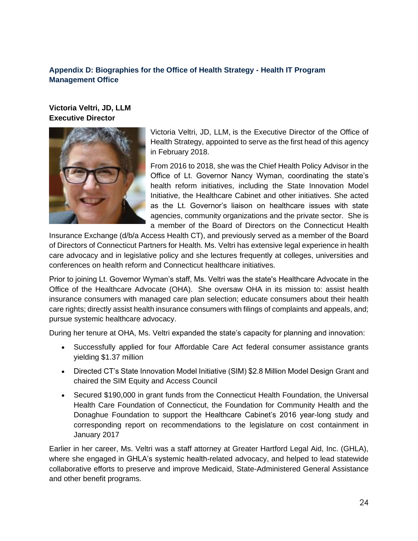#### <span id="page-24-0"></span>**Appendix D: Biographies for the Office of Health Strategy - Health IT Program Management Office**

**Victoria Veltri, JD, LLM Executive Director**



Victoria Veltri, JD, LLM, is the Executive Director of the Office of Health Strategy, appointed to serve as the first head of this agency in February 2018.

From 2016 to 2018, she was the Chief Health Policy Advisor in the Office of Lt. Governor Nancy Wyman, coordinating the state's health reform initiatives, including the State Innovation Model Initiative, the Healthcare Cabinet and other initiatives. She acted as the Lt. Governor's liaison on healthcare issues with state agencies, community organizations and the private sector. She is a member of the Board of Directors on the Connecticut Health

Insurance Exchange (d/b/a Access Health CT), and previously served as a member of the Board of Directors of Connecticut Partners for Health. Ms. Veltri has extensive legal experience in health care advocacy and in legislative policy and she lectures frequently at colleges, universities and conferences on health reform and Connecticut healthcare initiatives.

Prior to joining Lt. Governor Wyman's staff, Ms. Veltri was the state's Healthcare Advocate in the Office of the Healthcare Advocate (OHA). She oversaw OHA in its mission to: assist health insurance consumers with managed care plan selection; educate consumers about their health care rights; directly assist health insurance consumers with filings of complaints and appeals, and; pursue systemic healthcare advocacy.

During her tenure at OHA, Ms. Veltri expanded the state's capacity for planning and innovation:

- Successfully applied for four Affordable Care Act federal consumer assistance grants yielding \$1.37 million
- Directed CT's State Innovation Model Initiative (SIM) \$2.8 Million Model Design Grant and chaired the SIM Equity and Access Council
- Secured \$190,000 in grant funds from the Connecticut Health Foundation, the Universal Health Care Foundation of Connecticut, the Foundation for Community Health and the Donaghue Foundation to support the Healthcare Cabinet's 2016 year-long study and corresponding report on recommendations to the legislature on cost containment in January 2017

Earlier in her career, Ms. Veltri was a staff attorney at Greater Hartford Legal Aid, Inc. (GHLA), where she engaged in GHLA's systemic health-related advocacy, and helped to lead statewide collaborative efforts to preserve and improve Medicaid, State-Administered General Assistance and other benefit programs.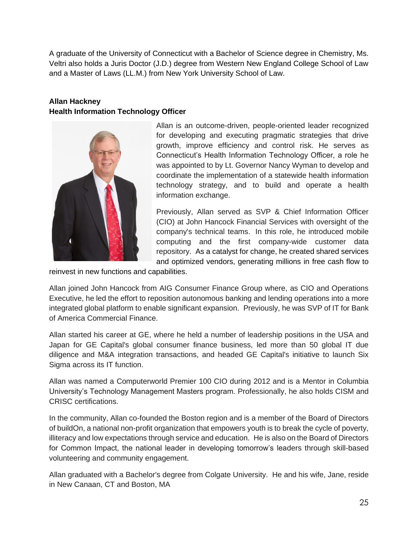A graduate of the University of Connecticut with a Bachelor of Science degree in Chemistry, Ms. Veltri also holds a Juris Doctor (J.D.) degree from Western New England College School of Law and a Master of Laws (LL.M.) from New York University School of Law.

### **Allan Hackney Health Information Technology Officer**



Allan is an outcome-driven, people-oriented leader recognized for developing and executing pragmatic strategies that drive growth, improve efficiency and control risk. He serves as Connecticut's Health Information Technology Officer, a role he was appointed to by Lt. Governor Nancy Wyman to develop and coordinate the implementation of a statewide health information technology strategy, and to build and operate a health information exchange.

Previously, Allan served as SVP & Chief Information Officer (CIO) at John Hancock Financial Services with oversight of the company's technical teams. In this role, he introduced mobile computing and the first company-wide customer data repository. As a catalyst for change, he created shared services and optimized vendors, generating millions in free cash flow to

reinvest in new functions and capabilities.

Allan joined John Hancock from AIG Consumer Finance Group where, as CIO and Operations Executive, he led the effort to reposition autonomous banking and lending operations into a more integrated global platform to enable significant expansion. Previously, he was SVP of IT for Bank of America Commercial Finance.

Allan started his career at GE, where he held a number of leadership positions in the USA and Japan for GE Capital's global consumer finance business, led more than 50 global IT due diligence and M&A integration transactions, and headed GE Capital's initiative to launch Six Sigma across its IT function.

Allan was named a Computerworld Premier 100 CIO during 2012 and is a Mentor in Columbia University's Technology Management Masters program. Professionally, he also holds CISM and CRISC certifications.

In the community, Allan co-founded the Boston region and is a member of the Board of Directors of buildOn, a national non-profit organization that empowers youth is to break the cycle of poverty, illiteracy and low expectations through service and education. He is also on the Board of Directors for Common Impact, the national leader in developing tomorrow's leaders through skill-based volunteering and community engagement.

Allan graduated with a Bachelor's degree from Colgate University. He and his wife, Jane, reside in New Canaan, CT and Boston, MA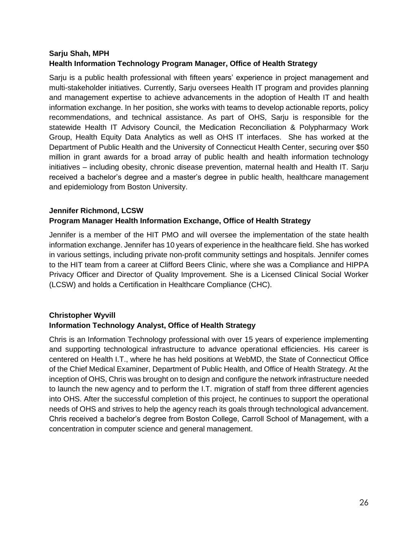#### **Sarju Shah, MPH Health Information Technology Program Manager, Office of Health Strategy**

Sarju is a public health professional with fifteen years' experience in project management and multi-stakeholder initiatives. Currently, Sarju oversees Health IT program and provides planning and management expertise to achieve advancements in the adoption of Health IT and health information exchange. In her position, she works with teams to develop actionable reports, policy recommendations, and technical assistance. As part of OHS, Sarju is responsible for the statewide Health IT Advisory Council, the Medication Reconciliation & Polypharmacy Work Group, Health Equity Data Analytics as well as OHS IT interfaces. She has worked at the Department of Public Health and the University of Connecticut Health Center, securing over \$50 million in grant awards for a broad array of public health and health information technology initiatives – including obesity, chronic disease prevention, maternal health and Health IT. Sarju received a bachelor's degree and a master's degree in public health, healthcare management and epidemiology from Boston University.

#### **Jennifer Richmond, LCSW Program Manager Health Information Exchange, Office of Health Strategy**

Jennifer is a member of the HIT PMO and will oversee the implementation of the state health information exchange. Jennifer has 10 years of experience in the healthcare field. She has worked in various settings, including private non-profit community settings and hospitals. Jennifer comes to the HIT team from a career at Clifford Beers Clinic, where she was a Compliance and HIPPA Privacy Officer and Director of Quality Improvement. She is a Licensed Clinical Social Worker (LCSW) and holds a Certification in Healthcare Compliance (CHC).

#### **Christopher Wyvill Information Technology Analyst, Office of Health Strategy**

Chris is an Information Technology professional with over 15 years of experience implementing and supporting technological infrastructure to advance operational efficiencies. His career is centered on Health I.T., where he has held positions at WebMD, the State of Connecticut Office of the Chief Medical Examiner, Department of Public Health, and Office of Health Strategy. At the inception of OHS, Chris was brought on to design and configure the network infrastructure needed to launch the new agency and to perform the I.T. migration of staff from three different agencies into OHS. After the successful completion of this project, he continues to support the operational needs of OHS and strives to help the agency reach its goals through technological advancement. Chris received a bachelor's degree from Boston College, Carroll School of Management, with a concentration in computer science and general management.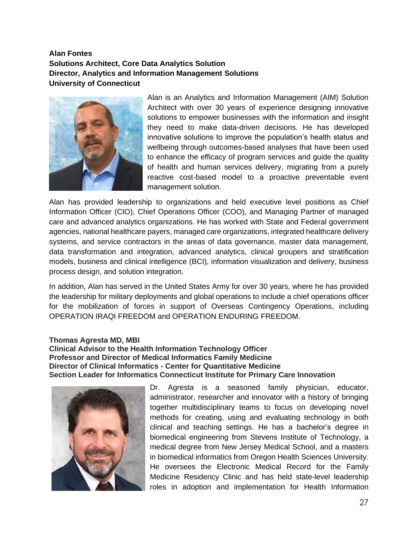#### **Alan Fontes Solutions Architect, Core Data Analytics Solution Director, Analytics and Information Management Solutions University of Connecticut**



Alan is an Analytics and Information Management (AIM) Solution Architect with over 30 years of experience designing innovative solutions to empower businesses with the information and insight they need to make data-driven decisions. He has developed innovative solutions to improve the population's health status and wellbeing through outcomes-based analyses that have been used to enhance the efficacy of program services and guide the quality of health and human services delivery, migrating from a purely reactive cost-based model to a proactive preventable event management solution.

Alan has provided leadership to organizations and held executive level positions as Chief Information Officer (CIO), Chief Operations Officer (COO), and Managing Partner of managed care and advanced analytics organizations. He has worked with State and Federal government agencies, national healthcare payers, managed care organizations, integrated healthcare delivery systems, and service contractors in the areas of data governance, master data management, data transformation and integration, advanced analytics, clinical groupers and stratification models, business and clinical intelligence (BCI), information visualization and delivery, business process design, and solution integration.

In addition, Alan has served in the United States Army for over 30 years, where he has provided the leadership for military deployments and global operations to include a chief operations officer for the mobilization of forces in support of Overseas Contingency Operations, including OPERATION IRAQI FREEDOM and OPERATION ENDURING FREEDOM.

#### **Thomas Agresta MD, MBI Clinical Advisor to the Health Information Technology Officer Professor and Director of Medical Informatics Family Medicine Director of Clinical Informatics - Center for Quantitative Medicine Section Leader for Informatics Connecticut Institute for Primary Care Innovation**



Dr. Agresta is a seasoned family physician, educator, administrator, researcher and innovator with a history of bringing together multidisciplinary teams to focus on developing novel methods for creating, using and evaluating technology in both clinical and teaching settings. He has a bachelor's degree in biomedical engineering from Stevens Institute of Technology, a medical degree from New Jersey Medical School, and a masters in biomedical informatics from Oregon Health Sciences University. He oversees the Electronic Medical Record for the Family Medicine Residency Clinic and has held state-level leadership roles in adoption and implementation for Health Information